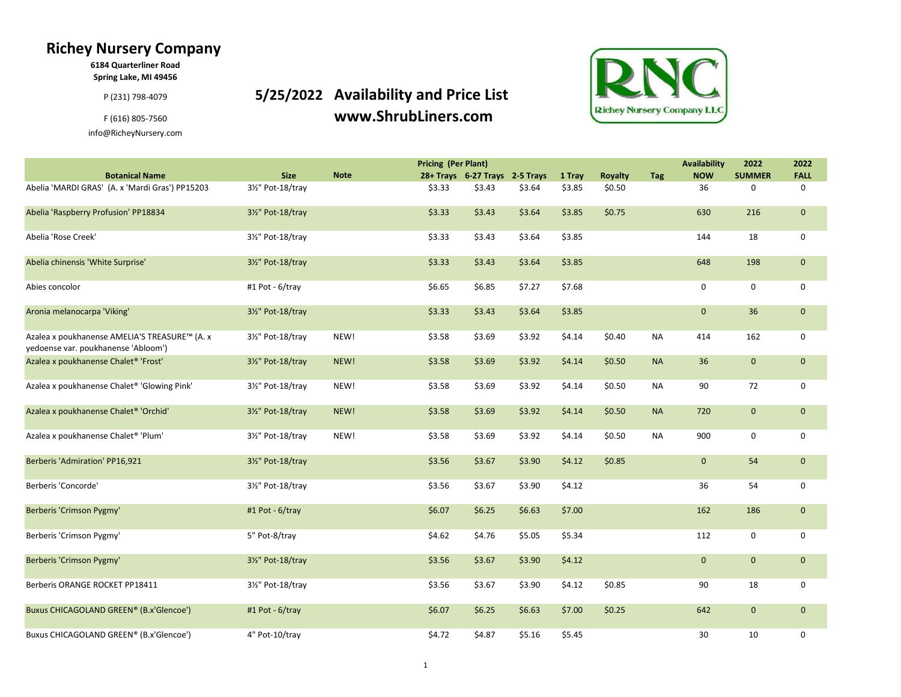## Richey Nursery Company

6184 Quarterliner Road Spring Lake, MI 49456

info@RicheyNursery.com

P(231) 798-4079 **5/25/2022** Availability and Price List F (616) 805-7560 www.ShrubLiners.com



|                                                                                      |                   |             | <b>Pricing (Per Plant)</b> |                                |        |        |                |            | <b>Availability</b> | 2022          | 2022         |
|--------------------------------------------------------------------------------------|-------------------|-------------|----------------------------|--------------------------------|--------|--------|----------------|------------|---------------------|---------------|--------------|
| <b>Botanical Name</b>                                                                | <b>Size</b>       | <b>Note</b> |                            | 28+ Trays 6-27 Trays 2-5 Trays |        | 1 Tray | <b>Royalty</b> | <b>Tag</b> | <b>NOW</b>          | <b>SUMMER</b> | <b>FALL</b>  |
| Abelia 'MARDI GRAS' (A. x 'Mardi Gras') PP15203                                      | 31/2" Pot-18/tray |             | \$3.33                     | \$3.43                         | \$3.64 | \$3.85 | \$0.50         |            | 36                  | 0             | $\Omega$     |
| Abelia 'Raspberry Profusion' PP18834                                                 | 31/2" Pot-18/trav |             | \$3.33                     | \$3.43                         | \$3.64 | \$3.85 | \$0.75         |            | 630                 | 216           | $\mathbf{0}$ |
| Abelia 'Rose Creek'                                                                  | 31/2" Pot-18/tray |             | \$3.33                     | \$3.43                         | \$3.64 | \$3.85 |                |            | 144                 | 18            | $\mathbf 0$  |
| Abelia chinensis 'White Surprise'                                                    | 31/2" Pot-18/tray |             | \$3.33                     | \$3.43                         | \$3.64 | \$3.85 |                |            | 648                 | 198           | $\mathbf{0}$ |
| Abies concolor                                                                       | #1 Pot - 6/tray   |             | \$6.65                     | \$6.85                         | \$7.27 | \$7.68 |                |            | 0                   | 0             | $\mathbf 0$  |
| Aronia melanocarpa 'Viking'                                                          | 3½" Pot-18/tray   |             | \$3.33                     | \$3.43                         | \$3.64 | \$3.85 |                |            | $\mathbf 0$         | 36            | $\mathbf{0}$ |
| Azalea x poukhanense AMELIA'S TREASURE™ (A. x<br>yedoense var. poukhanense 'Abloom') | 31/2" Pot-18/tray | NEW!        | \$3.58                     | \$3.69                         | \$3.92 | \$4.14 | \$0.40         | <b>NA</b>  | 414                 | 162           | 0            |
| Azalea x poukhanense Chalet <sup>®</sup> 'Frost'                                     | 31/2" Pot-18/tray | NEW!        | \$3.58                     | \$3.69                         | \$3.92 | \$4.14 | \$0.50         | <b>NA</b>  | 36                  | $\mathbf 0$   | $\mathbf{0}$ |
| Azalea x poukhanense Chalet® 'Glowing Pink'                                          | 31/2" Pot-18/tray | NEW!        | \$3.58                     | \$3.69                         | \$3.92 | \$4.14 | \$0.50         | <b>NA</b>  | 90                  | 72            | 0            |
| Azalea x poukhanense Chalet <sup>®</sup> 'Orchid'                                    | 31/2" Pot-18/tray | NEW!        | \$3.58                     | \$3.69                         | \$3.92 | \$4.14 | \$0.50         | <b>NA</b>  | 720                 | $\mathbf 0$   | $\mathbf{0}$ |
| Azalea x poukhanense Chalet® 'Plum'                                                  | 31/2" Pot-18/tray | NEW!        | \$3.58                     | \$3.69                         | \$3.92 | \$4.14 | \$0.50         | <b>NA</b>  | 900                 | 0             | 0            |
| Berberis 'Admiration' PP16,921                                                       | 31/2" Pot-18/tray |             | \$3.56                     | \$3.67                         | \$3.90 | \$4.12 | \$0.85         |            | $\mathbf{0}$        | 54            | $\mathbf{0}$ |
| Berberis 'Concorde'                                                                  | 31/2" Pot-18/tray |             | \$3.56                     | \$3.67                         | \$3.90 | \$4.12 |                |            | 36                  | 54            | 0            |
| <b>Berberis 'Crimson Pygmy'</b>                                                      | #1 Pot - 6/tray   |             | \$6.07                     | \$6.25                         | \$6.63 | \$7.00 |                |            | 162                 | 186           | $\mathbf 0$  |
| Berberis 'Crimson Pygmy'                                                             | 5" Pot-8/tray     |             | \$4.62                     | \$4.76                         | \$5.05 | \$5.34 |                |            | 112                 | 0             | 0            |
| Berberis 'Crimson Pygmy'                                                             | 31/2" Pot-18/tray |             | \$3.56                     | \$3.67                         | \$3.90 | \$4.12 |                |            | $\mathbf{0}$        | $\mathbf 0$   | $\mathbf{0}$ |
| Berberis ORANGE ROCKET PP18411                                                       | 31/2" Pot-18/tray |             | \$3.56                     | \$3.67                         | \$3.90 | \$4.12 | \$0.85         |            | 90                  | 18            | 0            |
| Buxus CHICAGOLAND GREEN® (B.x'Glencoe')                                              | #1 Pot - 6/tray   |             | \$6.07                     | \$6.25                         | \$6.63 | \$7.00 | \$0.25         |            | 642                 | $\mathbf{0}$  | $\mathbf{0}$ |

Buxus CHICAGOLAND GREEN® (B.x'Glencoe') a  $4''$  Pot-10/tray  $\lesssim 4.72$  \$4.72 \$4.87 \$5.16 \$5.45 30 10 0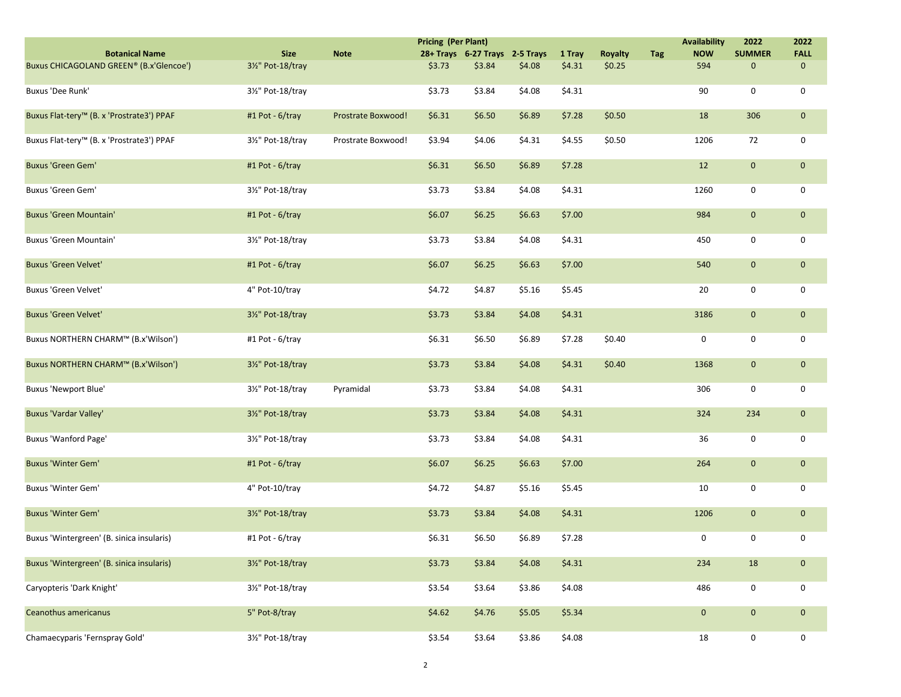|                                                       |                   |                    | <b>Pricing (Per Plant)</b> |                                |          |        |                |            | <b>Availability</b> | 2022          | 2022         |
|-------------------------------------------------------|-------------------|--------------------|----------------------------|--------------------------------|----------|--------|----------------|------------|---------------------|---------------|--------------|
| <b>Botanical Name</b>                                 | <b>Size</b>       | <b>Note</b>        |                            | 28+ Trays 6-27 Trays 2-5 Trays |          | 1 Tray | <b>Royalty</b> | <b>Tag</b> | <b>NOW</b>          | <b>SUMMER</b> | <b>FALL</b>  |
| Buxus CHICAGOLAND GREEN® (B.x'Glencoe')               | 31/2" Pot-18/tray |                    | \$3.73                     | \$3.84                         | \$4.08\$ | \$4.31 | \$0.25         |            | 594                 | $\mathbf 0$   | $\mathbf 0$  |
| Buxus 'Dee Runk'                                      | 31/2" Pot-18/tray |                    | \$3.73                     | \$3.84                         | \$4.08   | \$4.31 |                |            | 90                  | 0             | 0            |
| Buxus Flat-tery <sup>™</sup> (B. x 'Prostrate3') PPAF | #1 Pot - 6/tray   | Prostrate Boxwood! | \$6.31                     | \$6.50                         | \$6.89   | \$7.28 | \$0.50         |            | 18                  | 306           | $\mathbf 0$  |
| Buxus Flat-tery™ (B. x 'Prostrate3') PPAF             | 31/2" Pot-18/tray | Prostrate Boxwood! | \$3.94                     | \$4.06                         | \$4.31   | \$4.55 | \$0.50         |            | 1206                | 72            | 0            |
| <b>Buxus 'Green Gem'</b>                              | #1 Pot - 6/tray   |                    | \$6.31                     | \$6.50                         | \$6.89   | \$7.28 |                |            | 12                  | $\mathbf 0$   | $\mathbf 0$  |
| Buxus 'Green Gem'                                     | 31/2" Pot-18/tray |                    | \$3.73                     | \$3.84                         | \$4.08   | \$4.31 |                |            | 1260                | 0             | 0            |
| <b>Buxus 'Green Mountain'</b>                         | #1 Pot - 6/tray   |                    | \$6.07                     | \$6.25                         | \$6.63   | \$7.00 |                |            | 984                 | $\mathbf{0}$  | $\mathbf 0$  |
| Buxus 'Green Mountain'                                | 31/2" Pot-18/tray |                    | \$3.73                     | \$3.84                         | \$4.08   | \$4.31 |                |            | 450                 | 0             | 0            |
| <b>Buxus 'Green Velvet'</b>                           | #1 Pot - 6/tray   |                    | \$6.07                     | \$6.25                         | \$6.63   | \$7.00 |                |            | 540                 | $\mathbf{0}$  | $\mathbf{0}$ |
| Buxus 'Green Velvet'                                  | 4" Pot-10/tray    |                    | \$4.72                     | \$4.87                         | \$5.16   | \$5.45 |                |            | 20                  | 0             | 0            |
| <b>Buxus 'Green Velvet'</b>                           | 31/2" Pot-18/tray |                    | \$3.73                     | \$3.84                         | \$4.08   | \$4.31 |                |            | 3186                | $\mathbf 0$   | $\mathbf 0$  |
| Buxus NORTHERN CHARM™ (B.x'Wilson')                   | #1 Pot - 6/tray   |                    | \$6.31                     | \$6.50                         | \$6.89   | \$7.28 | \$0.40         |            | $\mathbf 0$         | 0             | 0            |
| Buxus NORTHERN CHARM™ (B.x'Wilson')                   | 31/2" Pot-18/tray |                    | \$3.73                     | \$3.84                         | \$4.08   | \$4.31 | \$0.40         |            | 1368                | $\mathbf 0$   | $\mathbf 0$  |
| <b>Buxus 'Newport Blue'</b>                           | 31/2" Pot-18/tray | Pyramidal          | \$3.73                     | \$3.84                         | \$4.08   | \$4.31 |                |            | 306                 | 0             | 0            |
| Buxus 'Vardar Valley'                                 | 31/2" Pot-18/tray |                    | \$3.73                     | \$3.84                         | \$4.08   | \$4.31 |                |            | 324                 | 234           | $\mathbf 0$  |
| Buxus 'Wanford Page'                                  | 31/2" Pot-18/tray |                    | \$3.73                     | \$3.84                         | \$4.08   | \$4.31 |                |            | 36                  | 0             | 0            |
| <b>Buxus 'Winter Gem'</b>                             | #1 Pot - 6/tray   |                    | \$6.07                     | \$6.25                         | \$6.63   | \$7.00 |                |            | 264                 | $\pmb{0}$     | $\mathbf 0$  |
| Buxus 'Winter Gem'                                    | 4" Pot-10/tray    |                    | \$4.72                     | \$4.87                         | \$5.16   | \$5.45 |                |            | 10                  | 0             | 0            |
| <b>Buxus 'Winter Gem'</b>                             | 3½" Pot-18/tray   |                    | \$3.73                     | \$3.84                         | \$4.08   | \$4.31 |                |            | 1206                | $\mathbf 0$   | $\mathbf 0$  |
| Buxus 'Wintergreen' (B. sinica insularis)             | #1 Pot - 6/tray   |                    | \$6.31                     | \$6.50                         | \$6.89   | \$7.28 |                |            | $\mathbf 0$         | 0             | 0            |
| Buxus 'Wintergreen' (B. sinica insularis)             | 31/2" Pot-18/tray |                    | \$3.73                     | \$3.84                         | \$4.08   | \$4.31 |                |            | 234                 | 18            | $\mathbf 0$  |
| Caryopteris 'Dark Knight'                             | 31/2" Pot-18/tray |                    | \$3.54                     | \$3.64                         | \$3.86   | \$4.08 |                |            | 486                 | 0             | 0            |
| Ceanothus americanus                                  | 5" Pot-8/tray     |                    | \$4.62                     | \$4.76                         | \$5.05   | \$5.34 |                |            | $\mathbf 0$         | $\mathbf 0$   | $\mathbf 0$  |
| Chamaecyparis 'Fernspray Gold'                        | 31/2" Pot-18/tray |                    | \$3.54                     | \$3.64                         | \$3.86   | \$4.08 |                |            | 18                  | 0             | 0            |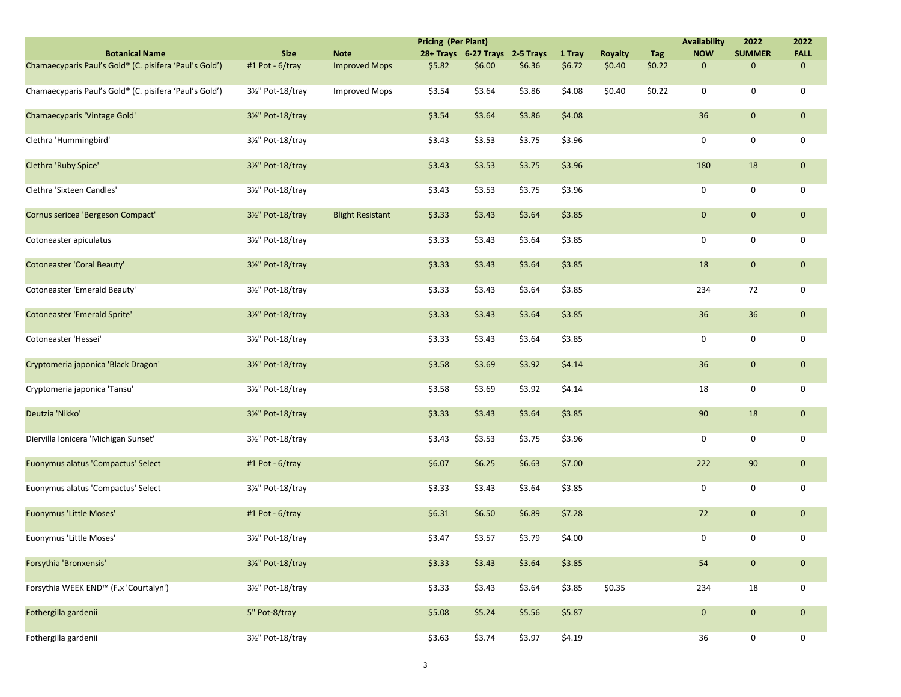|                                                        |                   |                         | <b>Pricing (Per Plant)</b> |                                |        |        |                |            | <b>Availability</b> | 2022          | 2022        |
|--------------------------------------------------------|-------------------|-------------------------|----------------------------|--------------------------------|--------|--------|----------------|------------|---------------------|---------------|-------------|
| <b>Botanical Name</b>                                  | <b>Size</b>       | <b>Note</b>             |                            | 28+ Trays 6-27 Trays 2-5 Trays |        | 1 Tray | <b>Royalty</b> | <b>Tag</b> | <b>NOW</b>          | <b>SUMMER</b> | <b>FALL</b> |
| Chamaecyparis Paul's Gold® (C. pisifera 'Paul's Gold') | #1 Pot - 6/tray   | <b>Improved Mops</b>    | \$5.82                     | \$6.00                         | \$6.36 | \$6.72 | \$0.40         | \$0.22     | $\mathbf 0$         | $\mathbf 0$   | $\mathbf 0$ |
| Chamaecyparis Paul's Gold® (C. pisifera 'Paul's Gold') | 3½" Pot-18/tray   | <b>Improved Mops</b>    | \$3.54                     | \$3.64                         | \$3.86 | \$4.08 | \$0.40         | \$0.22     | 0                   | 0             | 0           |
| Chamaecyparis 'Vintage Gold'                           | 31/2" Pot-18/tray |                         | \$3.54                     | \$3.64                         | \$3.86 | \$4.08 |                |            | 36                  | $\mathbf{0}$  | $\mathbf 0$ |
| Clethra 'Hummingbird'                                  | 31/2" Pot-18/tray |                         | \$3.43                     | \$3.53                         | \$3.75 | \$3.96 |                |            | 0                   | 0             | 0           |
| Clethra 'Ruby Spice'                                   | 3½" Pot-18/tray   |                         | \$3.43                     | \$3.53                         | \$3.75 | \$3.96 |                |            | 180                 | 18            | $\mathbf 0$ |
| Clethra 'Sixteen Candles'                              | 31/2" Pot-18/tray |                         | \$3.43                     | \$3.53                         | \$3.75 | \$3.96 |                |            | 0                   | 0             | 0           |
| Cornus sericea 'Bergeson Compact'                      | 31/2" Pot-18/tray | <b>Blight Resistant</b> | \$3.33                     | \$3.43                         | \$3.64 | \$3.85 |                |            | $\mathbf 0$         | $\mathbf{0}$  | $\mathbf 0$ |
| Cotoneaster apiculatus                                 | 31/2" Pot-18/tray |                         | \$3.33                     | \$3.43                         | \$3.64 | \$3.85 |                |            | 0                   | 0             | 0           |
| Cotoneaster 'Coral Beauty'                             | 31/2" Pot-18/tray |                         | \$3.33                     | \$3.43                         | \$3.64 | \$3.85 |                |            | 18                  | $\mathbf{0}$  | $\mathbf 0$ |
| Cotoneaster 'Emerald Beauty'                           | 31/2" Pot-18/tray |                         | \$3.33                     | \$3.43                         | \$3.64 | \$3.85 |                |            | 234                 | 72            | 0           |
| <b>Cotoneaster 'Emerald Sprite'</b>                    | 31/2" Pot-18/tray |                         | \$3.33                     | \$3.43                         | \$3.64 | \$3.85 |                |            | 36                  | 36            | $\mathbf 0$ |
| Cotoneaster 'Hessei'                                   | 31/2" Pot-18/tray |                         | \$3.33                     | \$3.43                         | \$3.64 | \$3.85 |                |            | $\mathbf 0$         | 0             | 0           |
| Cryptomeria japonica 'Black Dragon'                    | 31/2" Pot-18/tray |                         | \$3.58                     | \$3.69                         | \$3.92 | \$4.14 |                |            | 36                  | $\mathbf{0}$  | $\mathbf 0$ |
| Cryptomeria japonica 'Tansu'                           | 31/2" Pot-18/tray |                         | \$3.58                     | \$3.69                         | \$3.92 | \$4.14 |                |            | 18                  | 0             | 0           |
| Deutzia 'Nikko'                                        | 31/2" Pot-18/tray |                         | \$3.33                     | \$3.43                         | \$3.64 | \$3.85 |                |            | 90                  | 18            | $\mathbf 0$ |
| Diervilla lonicera 'Michigan Sunset'                   | 31/2" Pot-18/tray |                         | \$3.43                     | \$3.53                         | \$3.75 | \$3.96 |                |            | $\mathbf 0$         | 0             | 0           |
| Euonymus alatus 'Compactus' Select                     | #1 Pot - 6/tray   |                         | \$6.07                     | \$6.25                         | \$6.63 | \$7.00 |                |            | 222                 | 90            | $\mathbf 0$ |
| Euonymus alatus 'Compactus' Select                     | 31/2" Pot-18/tray |                         | \$3.33                     | \$3.43                         | \$3.64 | \$3.85 |                |            | $\mathbf 0$         | 0             | 0           |
| Euonymus 'Little Moses'                                | #1 Pot - 6/tray   |                         | \$6.31                     | \$6.50                         | \$6.89 | \$7.28 |                |            | 72                  | $\mathbf 0$   | $\mathbf 0$ |
| Euonymus 'Little Moses'                                | 31/2" Pot-18/tray |                         | \$3.47                     | \$3.57                         | \$3.79 | \$4.00 |                |            | 0                   | 0             | 0           |
| Forsythia 'Bronxensis'                                 | 31/2" Pot-18/tray |                         | \$3.33                     | \$3.43                         | \$3.64 | \$3.85 |                |            | 54                  | $\mathbf{0}$  | $\mathbf 0$ |
| Forsythia WEEK END™ (F.x 'Courtalyn')                  | 31/2" Pot-18/tray |                         | \$3.33                     | \$3.43                         | \$3.64 | \$3.85 | \$0.35         |            | 234                 | 18            | 0           |
| Fothergilla gardenii                                   | 5" Pot-8/tray     |                         | \$5.08                     | \$5.24                         | \$5.56 | \$5.87 |                |            | $\mathbf 0$         | $\mathbf{0}$  | $\mathbf 0$ |
| Fothergilla gardenii                                   | 31/2" Pot-18/tray |                         | \$3.63                     | \$3.74                         | \$3.97 | \$4.19 |                |            | 36                  | 0             | 0           |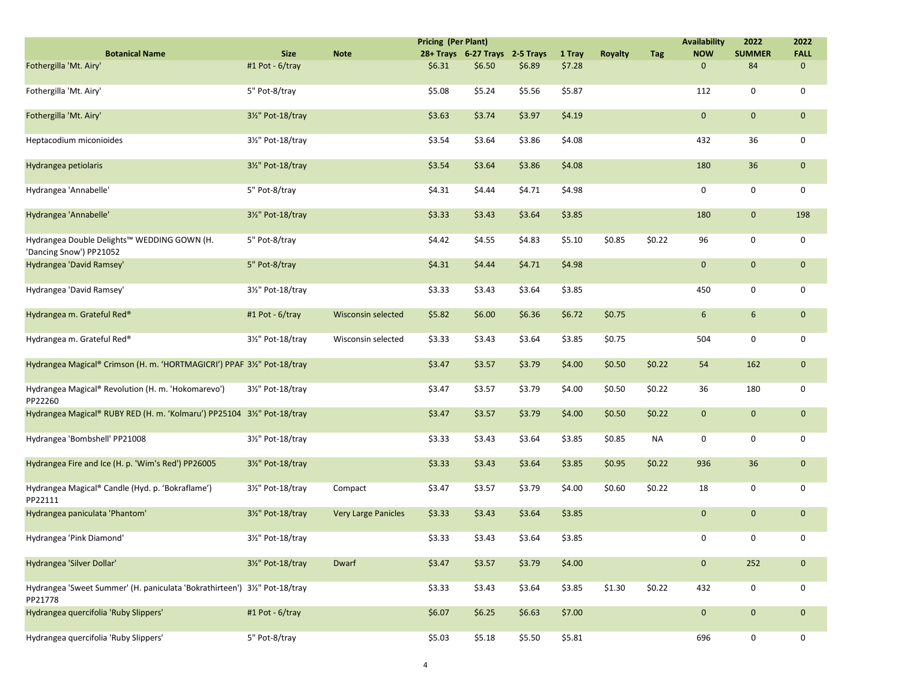|                                                                                     |                   |                            | <b>Pricing (Per Plant)</b> |                                |        |        |                |            | <b>Availability</b> | 2022          | 2022        |
|-------------------------------------------------------------------------------------|-------------------|----------------------------|----------------------------|--------------------------------|--------|--------|----------------|------------|---------------------|---------------|-------------|
| <b>Botanical Name</b>                                                               | <b>Size</b>       | <b>Note</b>                |                            | 28+ Trays 6-27 Trays 2-5 Trays |        | 1 Tray | <b>Royalty</b> | <b>Tag</b> | <b>NOW</b>          | <b>SUMMER</b> | <b>FALL</b> |
| Fothergilla 'Mt. Airy'                                                              | #1 Pot - 6/tray   |                            | \$6.31                     | \$6.50                         | \$6.89 | \$7.28 |                |            | $\mathbf 0$         | 84            | $\mathbf 0$ |
| Fothergilla 'Mt. Airy'                                                              | 5" Pot-8/tray     |                            | \$5.08                     | \$5.24                         | \$5.56 | \$5.87 |                |            | 112                 | 0             | 0           |
| Fothergilla 'Mt. Airy'                                                              | 3½" Pot-18/tray   |                            | \$3.63                     | \$3.74                         | \$3.97 | \$4.19 |                |            | $\mathbf{0}$        | $\mathbf{0}$  | $\mathbf 0$ |
| Heptacodium miconioides                                                             | 31/2" Pot-18/tray |                            | \$3.54                     | \$3.64                         | \$3.86 | \$4.08 |                |            | 432                 | 36            | 0           |
| Hydrangea petiolaris                                                                | 3½" Pot-18/tray   |                            | \$3.54                     | \$3.64                         | \$3.86 | \$4.08 |                |            | 180                 | 36            | $\mathbf 0$ |
| Hydrangea 'Annabelle'                                                               | 5" Pot-8/tray     |                            | \$4.31                     | \$4.44                         | \$4.71 | \$4.98 |                |            | $\mathbf 0$         | 0             | 0           |
| Hydrangea 'Annabelle'                                                               | 31/2" Pot-18/tray |                            | \$3.33                     | \$3.43                         | \$3.64 | \$3.85 |                |            | 180                 | $\mathbf{0}$  | 198         |
| Hydrangea Double Delights™ WEDDING GOWN (H.<br>'Dancing Snow') PP21052              | 5" Pot-8/tray     |                            | \$4.42                     | \$4.55                         | \$4.83 | \$5.10 | \$0.85         | \$0.22     | 96                  | 0             | 0           |
| Hydrangea 'David Ramsey'                                                            | 5" Pot-8/tray     |                            | \$4.31                     | \$4.44                         | \$4.71 | \$4.98 |                |            | $\mathbf{0}$        | $\mathbf 0$   | $\mathbf 0$ |
| Hydrangea 'David Ramsey'                                                            | 31/2" Pot-18/tray |                            | \$3.33                     | \$3.43                         | \$3.64 | \$3.85 |                |            | 450                 | 0             | 0           |
| Hydrangea m. Grateful Red®                                                          | #1 Pot - 6/tray   | <b>Wisconsin selected</b>  | \$5.82                     | \$6.00                         | \$6.36 | \$6.72 | \$0.75         |            | 6                   | 6             | $\mathbf 0$ |
| Hydrangea m. Grateful Red®                                                          | 31/2" Pot-18/tray | Wisconsin selected         | \$3.33                     | \$3.43                         | \$3.64 | \$3.85 | \$0.75         |            | 504                 | 0             | 0           |
| Hydrangea Magical® Crimson (H. m. 'HORTMAGICRI') PPAF 3½" Pot-18/tray               |                   |                            | \$3.47                     | \$3.57                         | \$3.79 | \$4.00 | \$0.50         | \$0.22     | 54                  | 162           | $\mathbf 0$ |
| Hydrangea Magical® Revolution (H. m. 'Hokomarevo')<br>PP22260                       | 3½" Pot-18/tray   |                            | \$3.47                     | \$3.57                         | \$3.79 | \$4.00 | \$0.50         | \$0.22     | 36                  | 180           | 0           |
| Hydrangea Magical® RUBY RED (H. m. 'Kolmaru') PP25104 31/2" Pot-18/tray             |                   |                            | \$3.47                     | \$3.57                         | \$3.79 | \$4.00 | \$0.50         | \$0.22     | $\mathbf 0$         | $\mathbf 0$   | $\mathbf 0$ |
| Hydrangea 'Bombshell' PP21008                                                       | 31/2" Pot-18/tray |                            | \$3.33                     | \$3.43                         | \$3.64 | \$3.85 | \$0.85         | NA         | 0                   | 0             | 0           |
| Hydrangea Fire and Ice (H. p. 'Wim's Red') PP26005                                  | 31/2" Pot-18/tray |                            | \$3.33                     | \$3.43                         | \$3.64 | \$3.85 | \$0.95         | \$0.22     | 936                 | 36            | $\mathbf 0$ |
| Hydrangea Magical® Candle (Hyd. p. 'Bokraflame')<br>PP22111                         | 31/2" Pot-18/tray | Compact                    | \$3.47                     | \$3.57                         | \$3.79 | \$4.00 | \$0.60         | \$0.22     | 18                  | 0             | 0           |
| Hydrangea paniculata 'Phantom'                                                      | 3½" Pot-18/tray   | <b>Very Large Panicles</b> | \$3.33                     | \$3.43                         | \$3.64 | \$3.85 |                |            | $\mathbf{0}$        | $\mathbf{0}$  | $\mathbf 0$ |
| Hydrangea 'Pink Diamond'                                                            | 31/2" Pot-18/tray |                            | \$3.33                     | \$3.43                         | \$3.64 | \$3.85 |                |            | 0                   | 0             | 0           |
| Hydrangea 'Silver Dollar'                                                           | 31/2" Pot-18/tray | Dwarf                      | \$3.47                     | \$3.57                         | \$3.79 | \$4.00 |                |            | $\mathbf 0$         | 252           | $\mathbf 0$ |
| Hydrangea 'Sweet Summer' (H. paniculata 'Bokrathirteen') 3½" Pot-18/tray<br>PP21778 |                   |                            | \$3.33                     | \$3.43                         | \$3.64 | \$3.85 | \$1.30         | \$0.22     | 432                 | 0             | 0           |
| Hydrangea quercifolia 'Ruby Slippers'                                               | #1 Pot - 6/tray   |                            | \$6.07                     | \$6.25                         | \$6.63 | \$7.00 |                |            | $\mathbf 0$         | $\mathbf 0$   | $\mathbf 0$ |
| Hydrangea quercifolia 'Ruby Slippers'                                               | 5" Pot-8/tray     |                            | \$5.03                     | \$5.18                         | \$5.50 | \$5.81 |                |            | 696                 | 0             | 0           |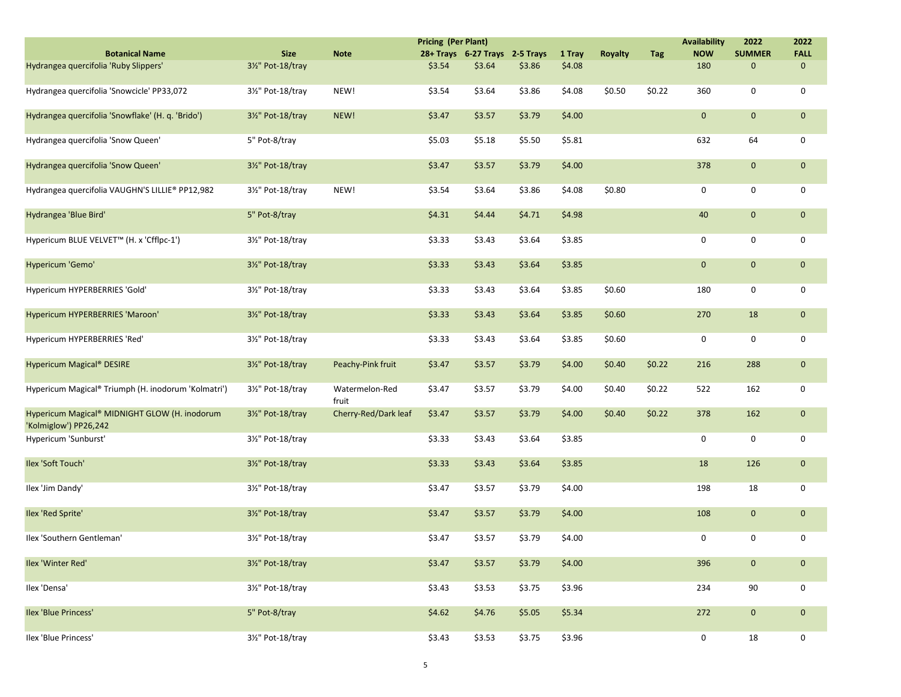|                                                                        |                   |                         | <b>Pricing (Per Plant)</b> |                                |        |          |                |            | <b>Availability</b> | 2022          | 2022        |
|------------------------------------------------------------------------|-------------------|-------------------------|----------------------------|--------------------------------|--------|----------|----------------|------------|---------------------|---------------|-------------|
| <b>Botanical Name</b>                                                  | <b>Size</b>       | <b>Note</b>             |                            | 28+ Trays 6-27 Trays 2-5 Trays |        | 1 Tray   | <b>Royalty</b> | <b>Tag</b> | <b>NOW</b>          | <b>SUMMER</b> | <b>FALL</b> |
| Hydrangea quercifolia 'Ruby Slippers'                                  | 31/2" Pot-18/tray |                         | \$3.54                     | \$3.64                         | \$3.86 | \$4.08\$ |                |            | 180                 | $\Omega$      | $\mathbf 0$ |
| Hydrangea quercifolia 'Snowcicle' PP33,072                             | 31/2" Pot-18/tray | NEW!                    | \$3.54                     | \$3.64                         | \$3.86 | \$4.08   | \$0.50         | \$0.22     | 360                 | 0             | 0           |
| Hydrangea quercifolia 'Snowflake' (H. q. 'Brido')                      | 31/2" Pot-18/tray | NEW!                    | \$3.47                     | \$3.57                         | \$3.79 | \$4.00   |                |            | $\mathbf 0$         | $\mathbf{0}$  | $\mathbf 0$ |
| Hydrangea quercifolia 'Snow Queen'                                     | 5" Pot-8/tray     |                         | \$5.03                     | \$5.18                         | \$5.50 | \$5.81   |                |            | 632                 | 64            | 0           |
| Hydrangea quercifolia 'Snow Queen'                                     | 31/2" Pot-18/tray |                         | \$3.47                     | \$3.57                         | \$3.79 | \$4.00   |                |            | 378                 | $\mathbf{0}$  | $\mathbf 0$ |
| Hydrangea quercifolia VAUGHN'S LILLIE® PP12,982                        | 31/2" Pot-18/tray | NEW!                    | \$3.54                     | \$3.64                         | \$3.86 | \$4.08   | \$0.80         |            | 0                   | 0             | 0           |
| Hydrangea 'Blue Bird'                                                  | 5" Pot-8/tray     |                         | \$4.31                     | \$4.44                         | \$4.71 | \$4.98   |                |            | 40                  | $\mathbf{0}$  | $\mathbf 0$ |
| Hypericum BLUE VELVET™ (H. x 'Cfflpc-1')                               | 31/2" Pot-18/tray |                         | \$3.33                     | \$3.43                         | \$3.64 | \$3.85   |                |            | 0                   | 0             | 0           |
| Hypericum 'Gemo'                                                       | 3½" Pot-18/tray   |                         | \$3.33                     | \$3.43                         | \$3.64 | \$3.85   |                |            | $\mathbf 0$         | $\mathbf{0}$  | $\mathbf 0$ |
| Hypericum HYPERBERRIES 'Gold'                                          | 31/2" Pot-18/tray |                         | \$3.33                     | \$3.43                         | \$3.64 | \$3.85   | \$0.60         |            | 180                 | 0             | 0           |
| Hypericum HYPERBERRIES 'Maroon'                                        | 31/2" Pot-18/tray |                         | \$3.33                     | \$3.43                         | \$3.64 | \$3.85   | \$0.60         |            | 270                 | 18            | $\mathbf 0$ |
| Hypericum HYPERBERRIES 'Red'                                           | 31/2" Pot-18/tray |                         | \$3.33                     | \$3.43                         | \$3.64 | \$3.85   | \$0.60         |            | $\mathbf 0$         | 0             | 0           |
| Hypericum Magical <sup>®</sup> DESIRE                                  | 3½" Pot-18/tray   | Peachy-Pink fruit       | \$3.47                     | \$3.57                         | \$3.79 | \$4.00   | \$0.40         | \$0.22     | 216                 | 288           | $\mathbf 0$ |
| Hypericum Magical® Triumph (H. inodorum 'Kolmatri')                    | 31/2" Pot-18/tray | Watermelon-Red<br>fruit | \$3.47                     | \$3.57                         | \$3.79 | \$4.00   | \$0.40         | \$0.22     | 522                 | 162           | 0           |
| Hypericum Magical® MIDNIGHT GLOW (H. inodorum<br>'Kolmiglow') PP26,242 | 3½" Pot-18/tray   | Cherry-Red/Dark leaf    | \$3.47                     | \$3.57                         | \$3.79 | \$4.00   | \$0.40         | \$0.22     | 378                 | 162           | $\mathbf 0$ |
| Hypericum 'Sunburst'                                                   | 31/2" Pot-18/tray |                         | \$3.33                     | \$3.43                         | \$3.64 | \$3.85   |                |            | 0                   | 0             | 0           |
| Ilex 'Soft Touch'                                                      | 31/2" Pot-18/tray |                         | \$3.33                     | \$3.43                         | \$3.64 | \$3.85   |                |            | 18                  | 126           | $\mathbf 0$ |
| Ilex 'Jim Dandy'                                                       | 31/2" Pot-18/tray |                         | \$3.47                     | \$3.57                         | \$3.79 | \$4.00   |                |            | 198                 | 18            | 0           |
| Ilex 'Red Sprite'                                                      | 31/2" Pot-18/tray |                         | \$3.47                     | \$3.57                         | \$3.79 | \$4.00   |                |            | 108                 | $\mathbf{0}$  | $\mathbf 0$ |
| Ilex 'Southern Gentleman'                                              | 31/2" Pot-18/tray |                         | \$3.47                     | \$3.57                         | \$3.79 | \$4.00   |                |            | 0                   | 0             | 0           |
| Ilex 'Winter Red'                                                      | 31/2" Pot-18/tray |                         | \$3.47                     | \$3.57                         | \$3.79 | \$4.00   |                |            | 396                 | $\mathbf{0}$  | $\mathbf 0$ |
| Ilex 'Densa'                                                           | 31/2" Pot-18/tray |                         | \$3.43                     | \$3.53                         | \$3.75 | \$3.96   |                |            | 234                 | 90            | 0           |
| <b>Ilex 'Blue Princess'</b>                                            | 5" Pot-8/tray     |                         | \$4.62                     | \$4.76                         | \$5.05 | \$5.34   |                |            | 272                 | $\mathbf{0}$  | $\mathbf 0$ |
| Ilex 'Blue Princess'                                                   | 31/2" Pot-18/tray |                         | \$3.43                     | \$3.53                         | \$3.75 | \$3.96   |                |            | 0                   | 18            | 0           |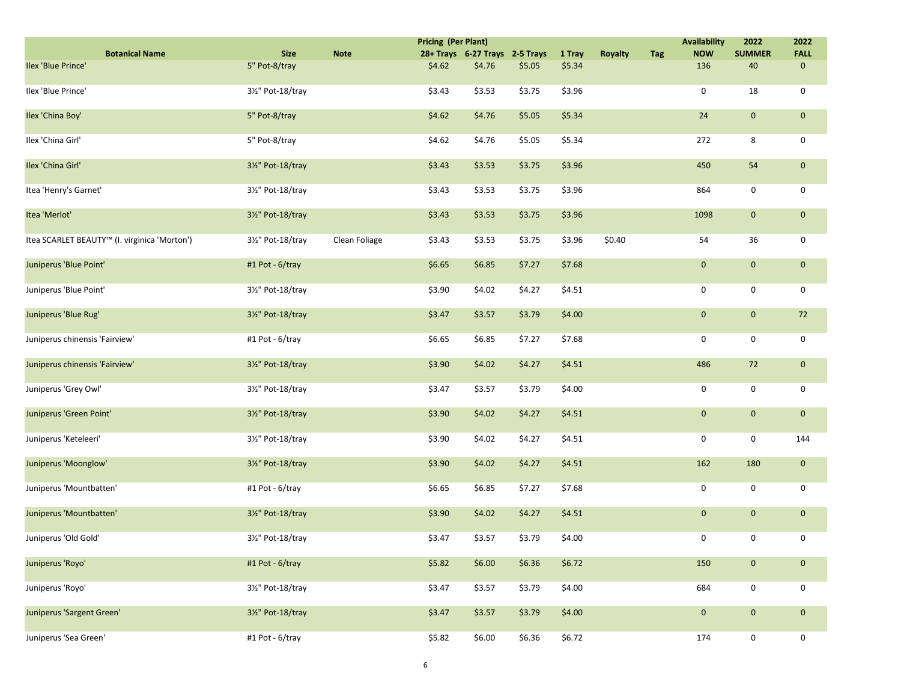|                                              |                   |               | <b>Pricing (Per Plant)</b> |                                |        |        |                |     | <b>Availability</b> | 2022                | 2022         |
|----------------------------------------------|-------------------|---------------|----------------------------|--------------------------------|--------|--------|----------------|-----|---------------------|---------------------|--------------|
| <b>Botanical Name</b>                        | <b>Size</b>       | <b>Note</b>   |                            | 28+ Trays 6-27 Trays 2-5 Trays |        | 1 Tray | <b>Royalty</b> | Tag | <b>NOW</b>          | <b>SUMMER</b>       | <b>FALL</b>  |
| Ilex 'Blue Prince'                           | 5" Pot-8/tray     |               | \$4.62                     | \$4.76                         | \$5.05 | \$5.34 |                |     | 136                 | 40                  | $\mathbf 0$  |
| Ilex 'Blue Prince'                           | 31/2" Pot-18/tray |               | \$3.43                     | \$3.53                         | \$3.75 | \$3.96 |                |     | 0                   | 18                  | 0            |
| Ilex 'China Boy'                             | 5" Pot-8/tray     |               | \$4.62                     | \$4.76                         | \$5.05 | \$5.34 |                |     | 24                  | $\mathbf 0$         | $\mathbf{0}$ |
| Ilex 'China Girl'                            | 5" Pot-8/tray     |               | \$4.62                     | \$4.76                         | \$5.05 | \$5.34 |                |     | 272                 | 8                   | 0            |
| Ilex 'China Girl'                            | 31/2" Pot-18/tray |               | \$3.43                     | \$3.53                         | \$3.75 | \$3.96 |                |     | 450                 | 54                  | $\mathbf{0}$ |
| Itea 'Henry's Garnet'                        | 31/2" Pot-18/tray |               | \$3.43                     | \$3.53                         | \$3.75 | \$3.96 |                |     | 864                 | 0                   | 0            |
| Itea 'Merlot'                                | 31/2" Pot-18/tray |               | \$3.43                     | \$3.53                         | \$3.75 | \$3.96 |                |     | 1098                | $\mathbf 0$         | $\mathbf{0}$ |
| Itea SCARLET BEAUTY™ (I. virginica 'Morton') | 31/2" Pot-18/tray | Clean Foliage | \$3.43                     | \$3.53                         | \$3.75 | \$3.96 | \$0.40         |     | 54                  | 36                  | 0            |
| Juniperus 'Blue Point'                       | #1 Pot - 6/tray   |               | \$6.65                     | \$6.85                         | \$7.27 | \$7.68 |                |     | $\mathbf 0$         | $\mathbf 0$         | $\mathbf{0}$ |
| Juniperus 'Blue Point'                       | 31/2" Pot-18/tray |               | \$3.90                     | \$4.02                         | \$4.27 | \$4.51 |                |     | 0                   | 0                   | $\mathsf{O}$ |
| Juniperus 'Blue Rug'                         | 31/2" Pot-18/tray |               | \$3.47                     | \$3.57                         | \$3.79 | \$4.00 |                |     | $\mathbf 0$         | $\mathbf 0$         | 72           |
| Juniperus chinensis 'Fairview'               | #1 Pot - 6/tray   |               | \$6.65                     | \$6.85                         | \$7.27 | \$7.68 |                |     | 0                   | 0                   | 0            |
| Juniperus chinensis 'Fairview'               | 31/2" Pot-18/tray |               | \$3.90                     | \$4.02                         | \$4.27 | \$4.51 |                |     | 486                 | 72                  | $\mathbf{0}$ |
| Juniperus 'Grey Owl'                         | 31/2" Pot-18/tray |               | \$3.47                     | \$3.57                         | \$3.79 | \$4.00 |                |     | 0                   | 0                   | 0            |
| Juniperus 'Green Point'                      | 31/2" Pot-18/tray |               | \$3.90                     | \$4.02\$                       | \$4.27 | \$4.51 |                |     | $\mathbf 0$         | $\mathsf{O}\xspace$ | $\mathbf{0}$ |
| Juniperus 'Keteleeri'                        | 31/2" Pot-18/tray |               | \$3.90                     | \$4.02                         | \$4.27 | \$4.51 |                |     | 0                   | 0                   | 144          |
| Juniperus 'Moonglow'                         | 31/2" Pot-18/tray |               | \$3.90                     | \$4.02                         | \$4.27 | \$4.51 |                |     | 162                 | 180                 | $\mathbf{0}$ |
| Juniperus 'Mountbatten'                      | #1 Pot - 6/tray   |               | \$6.65                     | \$6.85                         | \$7.27 | \$7.68 |                |     | 0                   | 0                   | 0            |
| Juniperus 'Mountbatten'                      | 31/2" Pot-18/tray |               | \$3.90                     | \$4.02                         | \$4.27 | \$4.51 |                |     | $\mathbf 0$         | $\mathbf 0$         | $\mathbf{0}$ |
| Juniperus 'Old Gold'                         | 31/2" Pot-18/tray |               | \$3.47                     | \$3.57                         | \$3.79 | \$4.00 |                |     | 0                   | 0                   | 0            |
| Juniperus 'Royo'                             | #1 Pot - 6/tray   |               | \$5.82                     | \$6.00                         | \$6.36 | \$6.72 |                |     | 150                 | $\mathbf{0}$        | $\pmb{0}$    |
| Juniperus 'Royo'                             | 31/2" Pot-18/tray |               | \$3.47                     | \$3.57                         | \$3.79 | \$4.00 |                |     | 684                 | 0                   | 0            |
| Juniperus 'Sargent Green'                    | 31/2" Pot-18/tray |               | \$3.47                     | \$3.57                         | \$3.79 | \$4.00 |                |     | $\mathbf 0$         | $\mathbf 0$         | $\mathbf{0}$ |
| Juniperus 'Sea Green'                        | #1 Pot - 6/tray   |               | \$5.82                     | \$6.00                         | \$6.36 | \$6.72 |                |     | 174                 | 0                   | $\mathbf 0$  |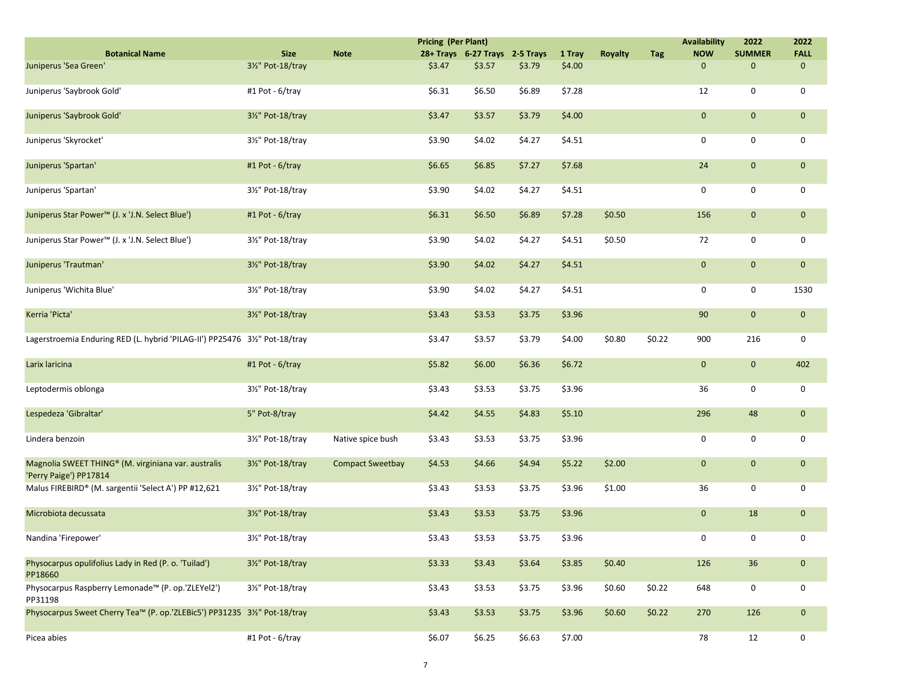|                                                                               |                   |                         | <b>Pricing (Per Plant)</b> |                                |        |        |                |        | <b>Availability</b> | 2022          | 2022        |
|-------------------------------------------------------------------------------|-------------------|-------------------------|----------------------------|--------------------------------|--------|--------|----------------|--------|---------------------|---------------|-------------|
| <b>Botanical Name</b>                                                         | <b>Size</b>       | <b>Note</b>             |                            | 28+ Trays 6-27 Trays 2-5 Trays |        | 1 Tray | <b>Royalty</b> | Tag    | <b>NOW</b>          | <b>SUMMER</b> | <b>FALL</b> |
| Juniperus 'Sea Green'                                                         | 31/2" Pot-18/tray |                         | \$3.47                     | \$3.57                         | \$3.79 | \$4.00 |                |        | $\pmb{0}$           | $\Omega$      | $\mathbf 0$ |
| Juniperus 'Saybrook Gold'                                                     | #1 Pot - 6/tray   |                         | \$6.31                     | \$6.50                         | \$6.89 | \$7.28 |                |        | 12                  | 0             | 0           |
| Juniperus 'Saybrook Gold'                                                     | 31/2" Pot-18/tray |                         | \$3.47                     | \$3.57                         | \$3.79 | \$4.00 |                |        | $\mathbf{0}$        | $\mathbf{0}$  | $\mathbf 0$ |
| Juniperus 'Skyrocket'                                                         | 31/2" Pot-18/tray |                         | \$3.90                     | \$4.02                         | \$4.27 | \$4.51 |                |        | 0                   | 0             | 0           |
| Juniperus 'Spartan'                                                           | #1 Pot - 6/tray   |                         | \$6.65                     | \$6.85                         | \$7.27 | \$7.68 |                |        | 24                  | $\mathbf{0}$  | $\mathbf 0$ |
| Juniperus 'Spartan'                                                           | 31/2" Pot-18/tray |                         | \$3.90                     | \$4.02                         | \$4.27 | \$4.51 |                |        | $\mathbf 0$         | 0             | 0           |
| Juniperus Star Power™ (J. x 'J.N. Select Blue')                               | #1 Pot - 6/tray   |                         | \$6.31                     | \$6.50                         | \$6.89 | \$7.28 | \$0.50         |        | 156                 | $\mathbf{0}$  | $\mathbf 0$ |
| Juniperus Star Power <sup>™</sup> (J. x 'J.N. Select Blue')                   | 31/2" Pot-18/tray |                         | \$3.90                     | \$4.02                         | \$4.27 | \$4.51 | \$0.50         |        | 72                  | 0             | 0           |
| Juniperus 'Trautman'                                                          | 31/2" Pot-18/tray |                         | \$3.90                     | \$4.02                         | \$4.27 | \$4.51 |                |        | $\mathbf 0$         | $\mathbf{0}$  | $\mathbf 0$ |
| Juniperus 'Wichita Blue'                                                      | 31/2" Pot-18/tray |                         | \$3.90                     | \$4.02                         | \$4.27 | \$4.51 |                |        | 0                   | 0             | 1530        |
| Kerria 'Picta'                                                                | 31/2" Pot-18/tray |                         | \$3.43                     | \$3.53                         | \$3.75 | \$3.96 |                |        | 90                  | $\mathbf{0}$  | $\mathbf 0$ |
| Lagerstroemia Enduring RED (L. hybrid 'PILAG-II') PP25476 31/2" Pot-18/tray   |                   |                         | \$3.47                     | \$3.57                         | \$3.79 | \$4.00 | \$0.80         | \$0.22 | 900                 | 216           | 0           |
| Larix laricina                                                                | #1 Pot - 6/tray   |                         | \$5.82                     | \$6.00                         | \$6.36 | \$6.72 |                |        | $\mathbf 0$         | $\mathbf{0}$  | 402         |
| Leptodermis oblonga                                                           | 31/2" Pot-18/tray |                         | \$3.43                     | \$3.53                         | \$3.75 | \$3.96 |                |        | 36                  | 0             | 0           |
| Lespedeza 'Gibraltar'                                                         | 5" Pot-8/tray     |                         | \$4.42                     | \$4.55                         | \$4.83 | \$5.10 |                |        | 296                 | 48            | $\mathbf 0$ |
| Lindera benzoin                                                               | 31/2" Pot-18/tray | Native spice bush       | \$3.43                     | \$3.53                         | \$3.75 | \$3.96 |                |        | 0                   | 0             | 0           |
| Magnolia SWEET THING® (M. virginiana var. australis<br>'Perry Paige') PP17814 | 3½" Pot-18/tray   | <b>Compact Sweetbay</b> | \$4.53                     | \$4.66                         | \$4.94 | \$5.22 | \$2.00         |        | $\mathbf 0$         | $\mathbf{0}$  | $\mathbf 0$ |
| Malus FIREBIRD® (M. sargentii 'Select A') PP #12,621                          | 31/2" Pot-18/tray |                         | \$3.43                     | \$3.53                         | \$3.75 | \$3.96 | \$1.00         |        | 36                  | 0             | 0           |
| Microbiota decussata                                                          | 31/2" Pot-18/tray |                         | \$3.43                     | \$3.53                         | \$3.75 | \$3.96 |                |        | $\mathbf 0$         | 18            | $\mathbf 0$ |
| Nandina 'Firepower'                                                           | 31/2" Pot-18/tray |                         | \$3.43                     | \$3.53                         | \$3.75 | \$3.96 |                |        | 0                   | 0             | 0           |
| Physocarpus opulifolius Lady in Red (P. o. 'Tuilad')<br>PP18660               | 31/2" Pot-18/tray |                         | \$3.33                     | \$3.43                         | \$3.64 | \$3.85 | \$0.40         |        | 126                 | 36            | $\mathbf 0$ |
| Physocarpus Raspberry Lemonade™ (P. op.'ZLEYel2')<br>PP31198                  | 31/2" Pot-18/tray |                         | \$3.43                     | \$3.53                         | \$3.75 | \$3.96 | \$0.60         | \$0.22 | 648                 | 0             | 0           |
| Physocarpus Sweet Cherry Tea™ (P. op.'ZLEBic5') PP31235 3½" Pot-18/tray       |                   |                         | \$3.43                     | \$3.53                         | \$3.75 | \$3.96 | \$0.60         | \$0.22 | 270                 | 126           | $\mathbf 0$ |
| Picea abies                                                                   | #1 Pot - 6/tray   |                         | \$6.07                     | \$6.25                         | \$6.63 | \$7.00 |                |        | 78                  | 12            | 0           |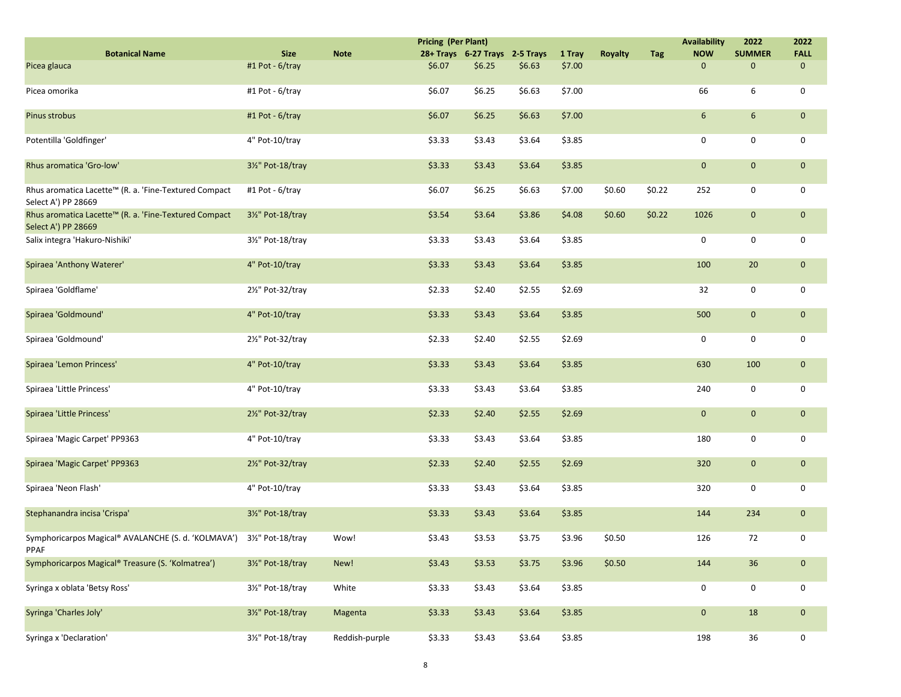|                                                                              |                   |                | <b>Pricing (Per Plant)</b> |                                |        |        |                |        | <b>Availability</b> | 2022          | 2022        |
|------------------------------------------------------------------------------|-------------------|----------------|----------------------------|--------------------------------|--------|--------|----------------|--------|---------------------|---------------|-------------|
| <b>Botanical Name</b>                                                        | <b>Size</b>       | <b>Note</b>    |                            | 28+ Trays 6-27 Trays 2-5 Trays |        | 1 Tray | <b>Royalty</b> | Tag    | <b>NOW</b>          | <b>SUMMER</b> | <b>FALL</b> |
| Picea glauca                                                                 | #1 Pot - 6/tray   |                | \$6.07                     | \$6.25                         | \$6.63 | \$7.00 |                |        | $\mathbf 0$         | $\mathbf 0$   | $\mathbf 0$ |
| Picea omorika                                                                | #1 Pot - 6/tray   |                | \$6.07                     | \$6.25                         | \$6.63 | \$7.00 |                |        | 66                  | 6             | 0           |
| Pinus strobus                                                                | #1 Pot - 6/tray   |                | \$6.07                     | \$6.25                         | \$6.63 | \$7.00 |                |        | 6                   | 6             | $\mathbf 0$ |
| Potentilla 'Goldfinger'                                                      | 4" Pot-10/tray    |                | \$3.33                     | \$3.43                         | \$3.64 | \$3.85 |                |        | $\mathbf 0$         | 0             | 0           |
| Rhus aromatica 'Gro-low'                                                     | 31/2" Pot-18/tray |                | \$3.33                     | \$3.43                         | \$3.64 | \$3.85 |                |        | $\mathbf 0$         | $\mathbf 0$   | $\mathbf 0$ |
| Rhus aromatica Lacette™ (R. a. 'Fine-Textured Compact<br>Select A') PP 28669 | #1 Pot - 6/tray   |                | \$6.07                     | \$6.25                         | \$6.63 | \$7.00 | \$0.60         | \$0.22 | 252                 | 0             | 0           |
| Rhus aromatica Lacette™ (R. a. 'Fine-Textured Compact<br>Select A') PP 28669 | 3½" Pot-18/tray   |                | \$3.54                     | \$3.64                         | \$3.86 | \$4.08 | \$0.60         | \$0.22 | 1026                | $\mathbf{0}$  | $\mathbf 0$ |
| Salix integra 'Hakuro-Nishiki'                                               | 31/2" Pot-18/tray |                | \$3.33                     | \$3.43                         | \$3.64 | \$3.85 |                |        | $\mathbf 0$         | 0             | 0           |
| Spiraea 'Anthony Waterer'                                                    | 4" Pot-10/tray    |                | \$3.33                     | \$3.43                         | \$3.64 | \$3.85 |                |        | 100                 | 20            | $\mathbf 0$ |
| Spiraea 'Goldflame'                                                          | 21/2" Pot-32/tray |                | \$2.33                     | \$2.40                         | \$2.55 | \$2.69 |                |        | 32                  | 0             | 0           |
| Spiraea 'Goldmound'                                                          | 4" Pot-10/tray    |                | \$3.33                     | \$3.43                         | \$3.64 | \$3.85 |                |        | 500                 | $\mathbf{0}$  | $\mathbf 0$ |
| Spiraea 'Goldmound'                                                          | 2½" Pot-32/tray   |                | \$2.33                     | \$2.40                         | \$2.55 | \$2.69 |                |        | 0                   | 0             | 0           |
| Spiraea 'Lemon Princess'                                                     | 4" Pot-10/tray    |                | \$3.33                     | \$3.43                         | \$3.64 | \$3.85 |                |        | 630                 | 100           | $\mathbf 0$ |
| Spiraea 'Little Princess'                                                    | 4" Pot-10/tray    |                | \$3.33                     | \$3.43                         | \$3.64 | \$3.85 |                |        | 240                 | 0             | 0           |
| Spiraea 'Little Princess'                                                    | 21/2" Pot-32/tray |                | \$2.33                     | \$2.40                         | \$2.55 | \$2.69 |                |        | $\mathbf 0$         | $\mathbf 0$   | $\mathbf 0$ |
| Spiraea 'Magic Carpet' PP9363                                                | 4" Pot-10/tray    |                | \$3.33                     | \$3.43                         | \$3.64 | \$3.85 |                |        | 180                 | 0             | 0           |
| Spiraea 'Magic Carpet' PP9363                                                | 21/2" Pot-32/tray |                | \$2.33                     | \$2.40                         | \$2.55 | \$2.69 |                |        | 320                 | $\mathbf 0$   | $\mathbf 0$ |
| Spiraea 'Neon Flash'                                                         | 4" Pot-10/tray    |                | \$3.33                     | \$3.43                         | \$3.64 | \$3.85 |                |        | 320                 | 0             | 0           |
| Stephanandra incisa 'Crispa'                                                 | 31/2" Pot-18/tray |                | \$3.33                     | \$3.43                         | \$3.64 | \$3.85 |                |        | 144                 | 234           | $\mathbf 0$ |
| Symphoricarpos Magical® AVALANCHE (S. d. 'KOLMAVA')<br>PPAF                  | 3½" Pot-18/tray   | Wow!           | \$3.43                     | \$3.53                         | \$3.75 | \$3.96 | \$0.50         |        | 126                 | 72            | 0           |
| Symphoricarpos Magical® Treasure (S. 'Kolmatrea')                            | 3½" Pot-18/tray   | New!           | \$3.43                     | \$3.53                         | \$3.75 | \$3.96 | \$0.50         |        | 144                 | 36            | $\mathbf 0$ |
| Syringa x oblata 'Betsy Ross'                                                | 31/2" Pot-18/tray | White          | \$3.33                     | \$3.43                         | \$3.64 | \$3.85 |                |        | 0                   | 0             | 0           |
| Syringa 'Charles Joly'                                                       | 31/2" Pot-18/tray | Magenta        | \$3.33                     | \$3.43                         | \$3.64 | \$3.85 |                |        | $\mathbf 0$         | 18            | $\mathbf 0$ |
| Syringa x 'Declaration'                                                      | 31/2" Pot-18/tray | Reddish-purple | \$3.33                     | \$3.43                         | \$3.64 | \$3.85 |                |        | 198                 | $36\,$        | 0           |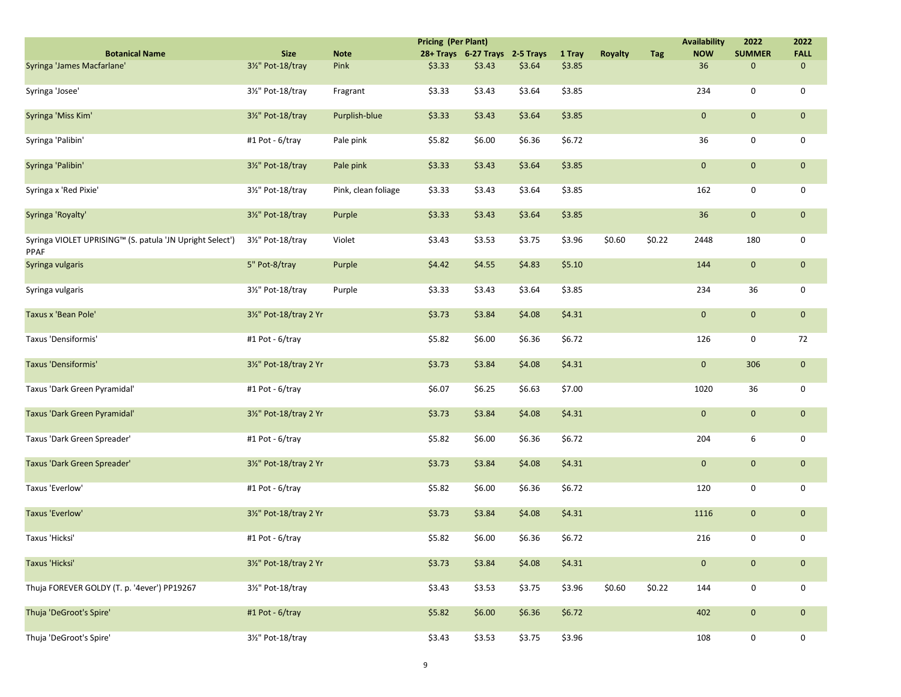|                                                                  |                        |                     | <b>Pricing (Per Plant)</b> |                                |        |        |                |            | <b>Availability</b> | 2022                | 2022        |
|------------------------------------------------------------------|------------------------|---------------------|----------------------------|--------------------------------|--------|--------|----------------|------------|---------------------|---------------------|-------------|
| <b>Botanical Name</b>                                            | <b>Size</b>            | <b>Note</b>         |                            | 28+ Trays 6-27 Trays 2-5 Trays |        | 1 Tray | <b>Royalty</b> | <b>Tag</b> | <b>NOW</b>          | <b>SUMMER</b>       | <b>FALL</b> |
| Syringa 'James Macfarlane'                                       | 31/2" Pot-18/tray      | Pink                | \$3.33                     | \$3.43                         | \$3.64 | \$3.85 |                |            | 36                  | $\mathbf 0$         | $\mathbf 0$ |
| Syringa 'Josee'                                                  | 31/2" Pot-18/tray      | Fragrant            | \$3.33                     | \$3.43                         | \$3.64 | \$3.85 |                |            | 234                 | 0                   | $\mathbf 0$ |
| Syringa 'Miss Kim'                                               | 31/2" Pot-18/tray      | Purplish-blue       | \$3.33                     | \$3.43                         | \$3.64 | \$3.85 |                |            | $\mathbf 0$         | $\mathbf 0$         | $\mathbf 0$ |
| Syringa 'Palibin'                                                | #1 Pot - 6/tray        | Pale pink           | \$5.82                     | \$6.00                         | \$6.36 | \$6.72 |                |            | 36                  | 0                   | 0           |
| Syringa 'Palibin'                                                | 31/2" Pot-18/tray      | Pale pink           | \$3.33                     | \$3.43                         | \$3.64 | \$3.85 |                |            | $\mathbf 0$         | $\mathbf{0}$        | $\mathbf 0$ |
| Syringa x 'Red Pixie'                                            | 31/2" Pot-18/tray      | Pink, clean foliage | \$3.33                     | \$3.43                         | \$3.64 | \$3.85 |                |            | 162                 | 0                   | 0           |
| Syringa 'Royalty'                                                | 31/2" Pot-18/tray      | Purple              | \$3.33                     | \$3.43                         | \$3.64 | \$3.85 |                |            | 36                  | $\mathbf 0$         | $\mathbf 0$ |
| Syringa VIOLET UPRISING™ (S. patula 'JN Upright Select')<br>PPAF | 31/2" Pot-18/tray      | Violet              | \$3.43                     | \$3.53                         | \$3.75 | \$3.96 | \$0.60         | \$0.22     | 2448                | 180                 | 0           |
| Syringa vulgaris                                                 | 5" Pot-8/tray          | Purple              | \$4.42                     | \$4.55                         | \$4.83 | \$5.10 |                |            | 144                 | $\mathbf 0$         | $\mathbf 0$ |
| Syringa vulgaris                                                 | 31/2" Pot-18/tray      | Purple              | \$3.33                     | \$3.43                         | \$3.64 | \$3.85 |                |            | 234                 | 36                  | 0           |
| Taxus x 'Bean Pole'                                              | 31/2" Pot-18/tray 2 Yr |                     | \$3.73                     | \$3.84                         | \$4.08 | \$4.31 |                |            | $\mathbf 0$         | $\mathbf 0$         | $\mathbf 0$ |
| Taxus 'Densiformis'                                              | #1 Pot - 6/tray        |                     | \$5.82                     | \$6.00                         | \$6.36 | \$6.72 |                |            | 126                 | 0                   | 72          |
| Taxus 'Densiformis'                                              | 31/2" Pot-18/tray 2 Yr |                     | \$3.73                     | \$3.84                         | \$4.08 | \$4.31 |                |            | $\mathbf 0$         | 306                 | $\mathbf 0$ |
| Taxus 'Dark Green Pyramidal'                                     | #1 Pot - 6/tray        |                     | \$6.07                     | \$6.25                         | \$6.63 | \$7.00 |                |            | 1020                | 36                  | 0           |
| <b>Taxus 'Dark Green Pyramidal'</b>                              | 31/2" Pot-18/tray 2 Yr |                     | \$3.73                     | \$3.84                         | \$4.08 | \$4.31 |                |            | $\mathbf 0$         | $\mathbf 0$         | $\mathbf 0$ |
| Taxus 'Dark Green Spreader'                                      | #1 Pot - 6/tray        |                     | \$5.82                     | \$6.00                         | \$6.36 | \$6.72 |                |            | 204                 | 6                   | 0           |
| Taxus 'Dark Green Spreader'                                      | 31/2" Pot-18/tray 2 Yr |                     | \$3.73                     | \$3.84                         | \$4.08 | \$4.31 |                |            | $\mathbf 0$         | $\mathbf 0$         | $\mathbf 0$ |
| Taxus 'Everlow'                                                  | #1 Pot - 6/tray        |                     | \$5.82                     | \$6.00                         | \$6.36 | \$6.72 |                |            | 120                 | 0                   | 0           |
| Taxus 'Everlow'                                                  | 31/2" Pot-18/tray 2 Yr |                     | \$3.73                     | \$3.84                         | \$4.08 | \$4.31 |                |            | 1116                | $\mathbf 0$         | $\mathbf 0$ |
| Taxus 'Hicksi'                                                   | #1 Pot - 6/tray        |                     | \$5.82                     | \$6.00                         | \$6.36 | \$6.72 |                |            | 216                 | 0                   | 0           |
| Taxus 'Hicksi'                                                   | 31/2" Pot-18/tray 2 Yr |                     | \$3.73                     | \$3.84                         | \$4.08 | \$4.31 |                |            | $\mathbf 0$         | $\mathsf{O}\xspace$ | $\mathbf 0$ |
| Thuja FOREVER GOLDY (T. p. '4ever') PP19267                      | 31/2" Pot-18/tray      |                     | \$3.43                     | \$3.53                         | \$3.75 | \$3.96 | \$0.60         | \$0.22     | 144                 | 0                   | 0           |
| Thuja 'DeGroot's Spire'                                          | #1 Pot - 6/tray        |                     | \$5.82                     | \$6.00                         | \$6.36 | \$6.72 |                |            | 402                 | $\mathbf 0$         | $\mathbf 0$ |
| Thuja 'DeGroot's Spire'                                          | 31/2" Pot-18/tray      |                     | \$3.43                     | \$3.53                         | \$3.75 | \$3.96 |                |            | 108                 | $\mathsf{O}$        | $\mathbf 0$ |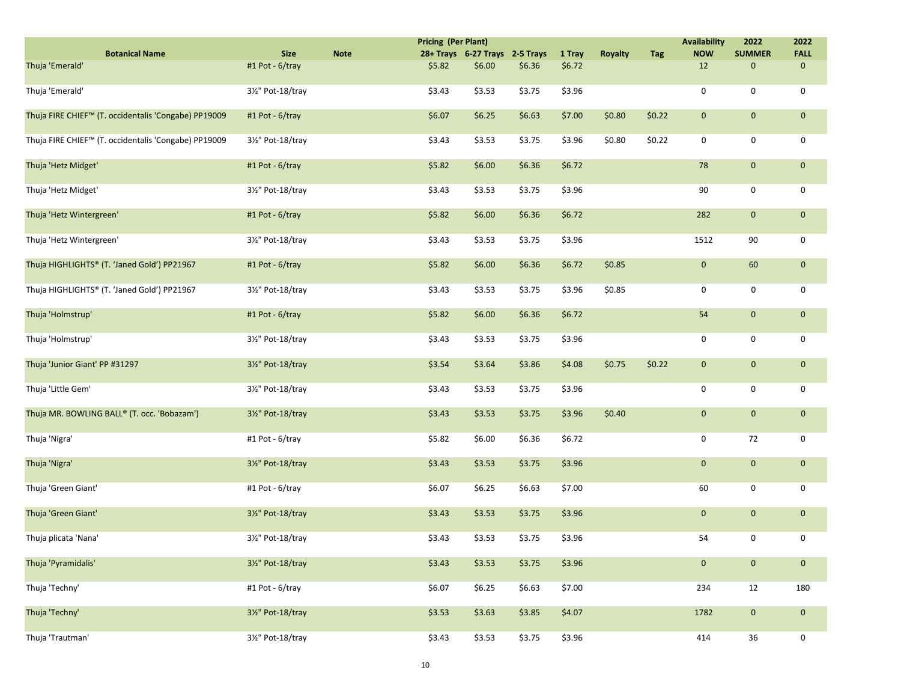|                                                      |                   |             | <b>Pricing (Per Plant)</b> |                                |        |        |                |        | <b>Availability</b> | 2022          | 2022         |
|------------------------------------------------------|-------------------|-------------|----------------------------|--------------------------------|--------|--------|----------------|--------|---------------------|---------------|--------------|
| <b>Botanical Name</b>                                | <b>Size</b>       | <b>Note</b> |                            | 28+ Trays 6-27 Trays 2-5 Trays |        | 1 Tray | <b>Royalty</b> | Tag    | <b>NOW</b>          | <b>SUMMER</b> | <b>FALL</b>  |
| Thuja 'Emerald'                                      | #1 Pot - 6/tray   |             | \$5.82                     | \$6.00                         | \$6.36 | \$6.72 |                |        | 12                  | 0             | $\mathbf 0$  |
| Thuja 'Emerald'                                      | 31/2" Pot-18/tray |             | \$3.43                     | \$3.53                         | \$3.75 | \$3.96 |                |        | 0                   | 0             | 0            |
| Thuja FIRE CHIEF™ (T. occidentalis 'Congabe) PP19009 | #1 Pot - 6/tray   |             | \$6.07                     | \$6.25                         | \$6.63 | \$7.00 | \$0.80         | \$0.22 | $\mathbf 0$         | $\mathbf 0$   | $\mathbf{0}$ |
| Thuja FIRE CHIEF™ (T. occidentalis 'Congabe) PP19009 | 31/2" Pot-18/tray |             | \$3.43                     | \$3.53                         | \$3.75 | \$3.96 | \$0.80         | \$0.22 | 0                   | 0             | 0            |
| Thuja 'Hetz Midget'                                  | #1 Pot - 6/tray   |             | \$5.82                     | \$6.00                         | \$6.36 | \$6.72 |                |        | 78                  | $\mathbf{0}$  | $\mathbf{0}$ |
| Thuja 'Hetz Midget'                                  | 31/2" Pot-18/tray |             | \$3.43                     | \$3.53                         | \$3.75 | \$3.96 |                |        | 90                  | 0             | 0            |
| Thuja 'Hetz Wintergreen'                             | #1 Pot - 6/tray   |             | \$5.82                     | \$6.00                         | \$6.36 | \$6.72 |                |        | 282                 | $\mathbf{0}$  | $\mathbf{0}$ |
| Thuja 'Hetz Wintergreen'                             | 31/2" Pot-18/tray |             | \$3.43                     | \$3.53                         | \$3.75 | \$3.96 |                |        | 1512                | 90            | 0            |
| Thuja HIGHLIGHTS® (T. 'Janed Gold') PP21967          | #1 Pot - 6/tray   |             | \$5.82                     | \$6.00                         | \$6.36 | \$6.72 | \$0.85         |        | $\mathbf 0$         | 60            | $\mathbf{0}$ |
| Thuja HIGHLIGHTS® (T. 'Janed Gold') PP21967          | 31/2" Pot-18/tray |             | \$3.43                     | \$3.53                         | \$3.75 | \$3.96 | \$0.85         |        | 0                   | 0             | 0            |
| Thuja 'Holmstrup'                                    | #1 Pot - 6/tray   |             | \$5.82                     | \$6.00                         | \$6.36 | \$6.72 |                |        | 54                  | $\mathbf{0}$  | $\mathbf{0}$ |
| Thuja 'Holmstrup'                                    | 31/2" Pot-18/tray |             | \$3.43                     | \$3.53                         | \$3.75 | \$3.96 |                |        | 0                   | 0             | 0            |
| Thuja 'Junior Giant' PP #31297                       | 31/2" Pot-18/tray |             | \$3.54                     | \$3.64                         | \$3.86 | \$4.08 | \$0.75         | \$0.22 | $\mathbf 0$         | $\mathbf{0}$  | $\mathbf{0}$ |
| Thuja 'Little Gem'                                   | 31/2" Pot-18/tray |             | \$3.43                     | \$3.53                         | \$3.75 | \$3.96 |                |        | 0                   | 0             | 0            |
| Thuja MR. BOWLING BALL® (T. occ. 'Bobazam')          | 31/2" Pot-18/tray |             | \$3.43                     | \$3.53                         | \$3.75 | \$3.96 | \$0.40         |        | $\mathbf 0$         | $\mathbf{0}$  | $\mathbf 0$  |
| Thuja 'Nigra'                                        | #1 Pot - 6/tray   |             | \$5.82                     | \$6.00                         | \$6.36 | \$6.72 |                |        | 0                   | 72            | 0            |
| Thuja 'Nigra'                                        | 31/2" Pot-18/tray |             | \$3.43                     | \$3.53                         | \$3.75 | \$3.96 |                |        | $\mathbf 0$         | $\mathbf 0$   | $\mathbf{0}$ |
| Thuja 'Green Giant'                                  | #1 Pot - 6/tray   |             | \$6.07                     | \$6.25                         | \$6.63 | \$7.00 |                |        | 60                  | 0             | $\mathbf 0$  |
| Thuja 'Green Giant'                                  | 31/2" Pot-18/tray |             | \$3.43                     | \$3.53                         | \$3.75 | \$3.96 |                |        | $\mathbf 0$         | $\mathbf{0}$  | $\mathbf{0}$ |
| Thuja plicata 'Nana'                                 | 31/2" Pot-18/tray |             | \$3.43                     | \$3.53                         | \$3.75 | \$3.96 |                |        | 54                  | 0             | 0            |
| Thuja 'Pyramidalis'                                  | 31/2" Pot-18/tray |             | \$3.43                     | \$3.53                         | \$3.75 | \$3.96 |                |        | $\mathbf 0$         | $\mathbf{0}$  | $\mathbf 0$  |
| Thuja 'Techny'                                       | #1 Pot - 6/tray   |             | \$6.07                     | \$6.25                         | \$6.63 | \$7.00 |                |        | 234                 | 12            | 180          |
| Thuja 'Techny'                                       | 31/2" Pot-18/tray |             | \$3.53                     | \$3.63                         | \$3.85 | \$4.07 |                |        | 1782                | $\mathbf 0$   | $\mathbf{0}$ |
| Thuja 'Trautman'                                     | 31/2" Pot-18/tray |             | \$3.43                     | \$3.53                         | \$3.75 | \$3.96 |                |        | 414                 | 36            | $\mathbf 0$  |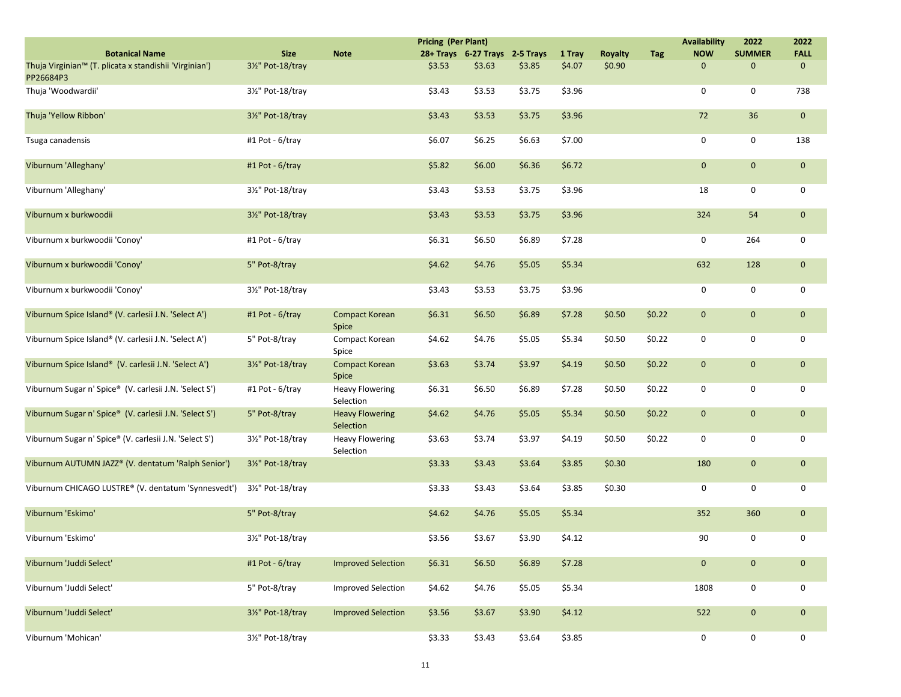|                                                                     |                   |                                     | <b>Pricing (Per Plant)</b> |                                |        |        |                |            | <b>Availability</b> | 2022          | 2022        |
|---------------------------------------------------------------------|-------------------|-------------------------------------|----------------------------|--------------------------------|--------|--------|----------------|------------|---------------------|---------------|-------------|
| <b>Botanical Name</b>                                               | <b>Size</b>       | <b>Note</b>                         |                            | 28+ Trays 6-27 Trays 2-5 Trays |        | 1 Tray | <b>Royalty</b> | <b>Tag</b> | <b>NOW</b>          | <b>SUMMER</b> | <b>FALL</b> |
| Thuja Virginian™ (T. plicata x standishii 'Virginian')<br>PP26684P3 | 31/2" Pot-18/tray |                                     | \$3.53                     | \$3.63                         | \$3.85 | \$4.07 | \$0.90         |            | $\mathbf 0$         | $\mathbf{0}$  | $\mathbf 0$ |
| Thuja 'Woodwardii'                                                  | 3½" Pot-18/tray   |                                     | \$3.43                     | \$3.53                         | \$3.75 | \$3.96 |                |            | 0                   | 0             | 738         |
| Thuja 'Yellow Ribbon'                                               | 31/2" Pot-18/tray |                                     | \$3.43                     | \$3.53                         | \$3.75 | \$3.96 |                |            | 72                  | 36            | $\mathbf 0$ |
| Tsuga canadensis                                                    | #1 Pot - 6/tray   |                                     | \$6.07                     | \$6.25                         | \$6.63 | \$7.00 |                |            | $\mathbf 0$         | 0             | 138         |
| Viburnum 'Alleghany'                                                | #1 Pot - 6/tray   |                                     | \$5.82                     | \$6.00                         | \$6.36 | \$6.72 |                |            | $\mathbf 0$         | $\mathbf{0}$  | $\mathbf 0$ |
| Viburnum 'Alleghany'                                                | 31/2" Pot-18/tray |                                     | \$3.43                     | \$3.53                         | \$3.75 | \$3.96 |                |            | 18                  | 0             | 0           |
| Viburnum x burkwoodii                                               | 31/2" Pot-18/tray |                                     | \$3.43                     | \$3.53                         | \$3.75 | \$3.96 |                |            | 324                 | 54            | $\mathbf 0$ |
| Viburnum x burkwoodii 'Conoy'                                       | #1 Pot - 6/tray   |                                     | \$6.31                     | \$6.50                         | \$6.89 | \$7.28 |                |            | 0                   | 264           | 0           |
| Viburnum x burkwoodii 'Conoy'                                       | 5" Pot-8/tray     |                                     | \$4.62                     | \$4.76                         | \$5.05 | \$5.34 |                |            | 632                 | 128           | $\mathbf 0$ |
| Viburnum x burkwoodii 'Conoy'                                       | 31/2" Pot-18/tray |                                     | \$3.43                     | \$3.53                         | \$3.75 | \$3.96 |                |            | 0                   | 0             | 0           |
| Viburnum Spice Island® (V. carlesii J.N. 'Select A')                | #1 Pot - 6/tray   | <b>Compact Korean</b><br>Spice      | \$6.31                     | \$6.50                         | \$6.89 | \$7.28 | \$0.50         | \$0.22     | $\mathbf 0$         | $\mathbf{0}$  | $\mathbf 0$ |
| Viburnum Spice Island® (V. carlesii J.N. 'Select A')                | 5" Pot-8/tray     | Compact Korean<br>Spice             | \$4.62                     | \$4.76                         | \$5.05 | \$5.34 | \$0.50         | \$0.22     | 0                   | 0             | 0           |
| Viburnum Spice Island® (V. carlesii J.N. 'Select A')                | 3½" Pot-18/tray   | <b>Compact Korean</b><br>Spice      | \$3.63                     | \$3.74                         | \$3.97 | \$4.19 | \$0.50         | \$0.22     | $\mathbf{0}$        | $\mathbf{0}$  | $\mathbf 0$ |
| Viburnum Sugar n' Spice® (V. carlesii J.N. 'Select S')              | #1 Pot - 6/tray   | <b>Heavy Flowering</b><br>Selection | \$6.31                     | \$6.50                         | \$6.89 | \$7.28 | \$0.50         | \$0.22     | 0                   | 0             | 0           |
| Viburnum Sugar n' Spice® (V. carlesii J.N. 'Select S')              | 5" Pot-8/tray     | <b>Heavy Flowering</b><br>Selection | \$4.62                     | \$4.76                         | \$5.05 | \$5.34 | \$0.50         | \$0.22     | $\mathbf 0$         | $\mathbf{0}$  | $\mathbf 0$ |
| Viburnum Sugar n' Spice® (V. carlesii J.N. 'Select S')              | 31/2" Pot-18/tray | <b>Heavy Flowering</b><br>Selection | \$3.63                     | \$3.74                         | \$3.97 | \$4.19 | \$0.50         | \$0.22     | $\mathbf 0$         | 0             | 0           |
| Viburnum AUTUMN JAZZ® (V. dentatum 'Ralph Senior')                  | 3½" Pot-18/tray   |                                     | \$3.33                     | \$3.43                         | \$3.64 | \$3.85 | \$0.30         |            | 180                 | $\mathbf{0}$  | $\mathbf 0$ |
| Viburnum CHICAGO LUSTRE® (V. dentatum 'Synnesvedt')                 | 31/2" Pot-18/tray |                                     | \$3.33                     | \$3.43                         | \$3.64 | \$3.85 | \$0.30         |            | 0                   | 0             | 0           |
| Viburnum 'Eskimo'                                                   | 5" Pot-8/tray     |                                     | \$4.62                     | \$4.76                         | \$5.05 | \$5.34 |                |            | 352                 | 360           | $\mathbf 0$ |
| Viburnum 'Eskimo'                                                   | 31/2" Pot-18/tray |                                     | \$3.56                     | \$3.67                         | \$3.90 | \$4.12 |                |            | 90                  | 0             | 0           |
| Viburnum 'Juddi Select'                                             | #1 Pot - 6/tray   | <b>Improved Selection</b>           | \$6.31                     | \$6.50                         | \$6.89 | \$7.28 |                |            | $\mathbf 0$         | $\mathbf{0}$  | $\mathbf 0$ |
| Viburnum 'Juddi Select'                                             | 5" Pot-8/tray     | <b>Improved Selection</b>           | \$4.62                     | \$4.76                         | \$5.05 | \$5.34 |                |            | 1808                | 0             | 0           |
| Viburnum 'Juddi Select'                                             | 31/2" Pot-18/tray | <b>Improved Selection</b>           | \$3.56                     | \$3.67                         | \$3.90 | \$4.12 |                |            | 522                 | $\mathbf 0$   | $\mathbf 0$ |
| Viburnum 'Mohican'                                                  | 31/2" Pot-18/tray |                                     | \$3.33                     | \$3.43                         | \$3.64 | \$3.85 |                |            | 0                   | 0             | 0           |